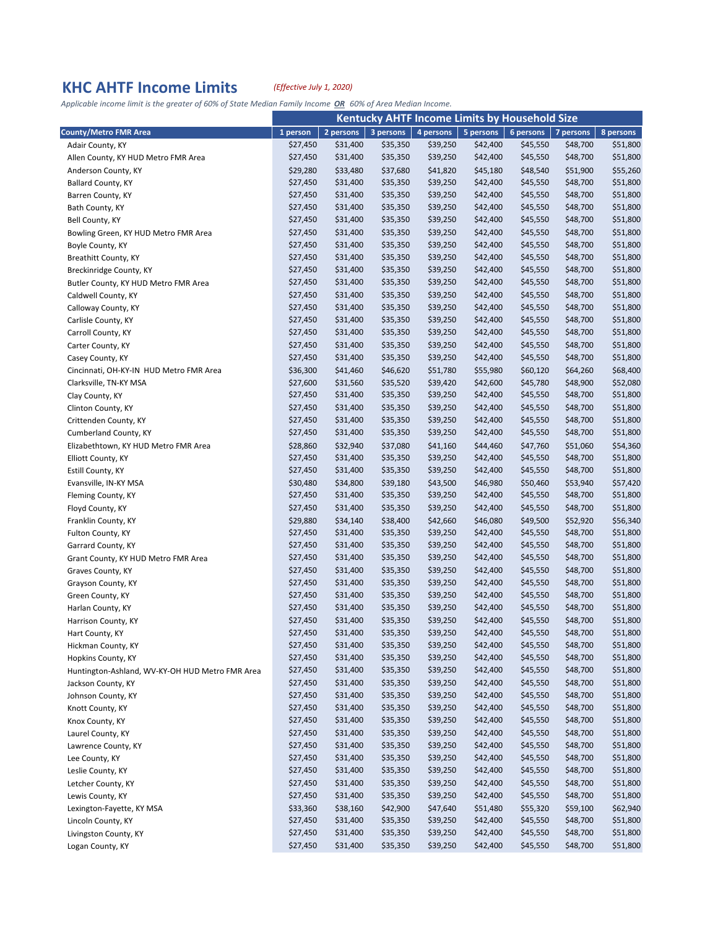## **KHC AHTF Income Limits** *(Effective July 1, 2020)*

Applicable income limit is the greater of 60% of State Median Family Income OR 60% of Area Median Income.

|                                                 | <b>Kentucky AHTF Income Limits by Household Size</b> |           |           |           |           |           |           |           |
|-------------------------------------------------|------------------------------------------------------|-----------|-----------|-----------|-----------|-----------|-----------|-----------|
| <b>County/Metro FMR Area</b>                    | 1 person                                             | 2 persons | 3 persons | 4 persons | 5 persons | 6 persons | 7 persons | 8 persons |
| Adair County, KY                                | \$27,450                                             | \$31,400  | \$35,350  | \$39,250  | \$42,400  | \$45,550  | \$48,700  | \$51,800  |
| Allen County, KY HUD Metro FMR Area             | \$27,450                                             | \$31,400  | \$35,350  | \$39,250  | \$42,400  | \$45,550  | \$48,700  | \$51,800  |
| Anderson County, KY                             | \$29,280                                             | \$33,480  | \$37,680  | \$41,820  | \$45,180  | \$48,540  | \$51,900  | \$55,260  |
| Ballard County, KY                              | \$27,450                                             | \$31,400  | \$35,350  | \$39,250  | \$42,400  | \$45,550  | \$48,700  | \$51,800  |
| Barren County, KY                               | \$27,450                                             | \$31,400  | \$35,350  | \$39,250  | \$42,400  | \$45,550  | \$48,700  | \$51,800  |
| Bath County, KY                                 | \$27,450                                             | \$31,400  | \$35,350  | \$39,250  | \$42,400  | \$45,550  | \$48,700  | \$51,800  |
| Bell County, KY                                 | \$27,450                                             | \$31,400  | \$35,350  | \$39,250  | \$42,400  | \$45,550  | \$48,700  | \$51,800  |
| Bowling Green, KY HUD Metro FMR Area            | \$27,450                                             | \$31,400  | \$35,350  | \$39,250  | \$42,400  | \$45,550  | \$48,700  | \$51,800  |
| Boyle County, KY                                | \$27,450                                             | \$31,400  | \$35,350  | \$39,250  | \$42,400  | \$45,550  | \$48,700  | \$51,800  |
| Breathitt County, KY                            | \$27,450                                             | \$31,400  | \$35,350  | \$39,250  | \$42,400  | \$45,550  | \$48,700  | \$51,800  |
| Breckinridge County, KY                         | \$27,450                                             | \$31,400  | \$35,350  | \$39,250  | \$42,400  | \$45,550  | \$48,700  | \$51,800  |
| Butler County, KY HUD Metro FMR Area            | \$27,450                                             | \$31,400  | \$35,350  | \$39,250  | \$42,400  | \$45,550  | \$48,700  | \$51,800  |
| Caldwell County, KY                             | \$27,450                                             | \$31,400  | \$35,350  | \$39,250  | \$42,400  | \$45,550  | \$48,700  | \$51,800  |
| Calloway County, KY                             | \$27,450                                             | \$31,400  | \$35,350  | \$39,250  | \$42,400  | \$45,550  | \$48,700  | \$51,800  |
| Carlisle County, KY                             | \$27,450                                             | \$31,400  | \$35,350  | \$39,250  | \$42,400  | \$45,550  | \$48,700  | \$51,800  |
| Carroll County, KY                              | \$27,450                                             | \$31,400  | \$35,350  | \$39,250  | \$42,400  | \$45,550  | \$48,700  | \$51,800  |
| Carter County, KY                               | \$27,450                                             | \$31,400  | \$35,350  | \$39,250  | \$42,400  | \$45,550  | \$48,700  | \$51,800  |
| Casey County, KY                                | \$27,450                                             | \$31,400  | \$35,350  | \$39,250  | \$42,400  | \$45,550  | \$48,700  | \$51,800  |
| Cincinnati, OH-KY-IN HUD Metro FMR Area         | \$36,300                                             | \$41,460  | \$46,620  | \$51,780  | \$55,980  | \$60,120  | \$64,260  | \$68,400  |
| Clarksville, TN-KY MSA                          | \$27,600                                             | \$31,560  | \$35,520  | \$39,420  | \$42,600  | \$45,780  | \$48,900  | \$52,080  |
| Clay County, KY                                 | \$27,450                                             | \$31,400  | \$35,350  | \$39,250  | \$42,400  | \$45,550  | \$48,700  | \$51,800  |
| Clinton County, KY                              | \$27,450                                             | \$31,400  | \$35,350  | \$39,250  | \$42,400  | \$45,550  | \$48,700  | \$51,800  |
| Crittenden County, KY                           | \$27,450                                             | \$31,400  | \$35,350  | \$39,250  | \$42,400  | \$45,550  | \$48,700  | \$51,800  |
| Cumberland County, KY                           | \$27,450                                             | \$31,400  | \$35,350  | \$39,250  | \$42,400  | \$45,550  | \$48,700  | \$51,800  |
| Elizabethtown, KY HUD Metro FMR Area            | \$28,860                                             | \$32,940  | \$37,080  | \$41,160  | \$44,460  | \$47,760  | \$51,060  | \$54,360  |
| Elliott County, KY                              | \$27,450                                             | \$31,400  | \$35,350  | \$39,250  | \$42,400  | \$45,550  | \$48,700  | \$51,800  |
| Estill County, KY                               | \$27,450                                             | \$31,400  | \$35,350  | \$39,250  | \$42,400  | \$45,550  | \$48,700  | \$51,800  |
| Evansville, IN-KY MSA                           | \$30,480                                             | \$34,800  | \$39,180  | \$43,500  | \$46,980  | \$50,460  | \$53,940  | \$57,420  |
| Fleming County, KY                              | \$27,450                                             | \$31,400  | \$35,350  | \$39,250  | \$42,400  | \$45,550  | \$48,700  | \$51,800  |
| Floyd County, KY                                | \$27,450                                             | \$31,400  | \$35,350  | \$39,250  | \$42,400  | \$45,550  | \$48,700  | \$51,800  |
| Franklin County, KY                             | \$29,880                                             | \$34,140  | \$38,400  | \$42,660  | \$46,080  | \$49,500  | \$52,920  | \$56,340  |
| Fulton County, KY                               | \$27,450                                             | \$31,400  | \$35,350  | \$39,250  | \$42,400  | \$45,550  | \$48,700  | \$51,800  |
| Garrard County, KY                              | \$27,450                                             | \$31,400  | \$35,350  | \$39,250  | \$42,400  | \$45,550  | \$48,700  | \$51,800  |
| Grant County, KY HUD Metro FMR Area             | \$27,450                                             | \$31,400  | \$35,350  | \$39,250  | \$42,400  | \$45,550  | \$48,700  | \$51,800  |
| Graves County, KY                               | \$27,450                                             | \$31,400  | \$35,350  | \$39,250  | \$42,400  | \$45,550  | \$48,700  | \$51,800  |
| Grayson County, KY                              | \$27,450                                             | \$31,400  | \$35,350  | \$39,250  | \$42,400  | \$45,550  | \$48,700  | \$51,800  |
| Green County, KY                                | \$27,450                                             | \$31,400  | \$35,350  | \$39,250  | \$42,400  | \$45,550  | \$48,700  | \$51,800  |
| Harlan County, KY                               | \$27,450                                             | \$31,400  | \$35,350  | \$39,250  | \$42,400  | \$45,550  | \$48,700  | \$51,800  |
| Harrison County, KY                             | \$27,450                                             | \$31,400  | \$35,350  | \$39,250  | \$42,400  | \$45,550  | \$48,700  | \$51,800  |
| Hart County, KY                                 | \$27,450                                             | \$31,400  | \$35,350  | \$39,250  | \$42,400  | \$45,550  | \$48,700  | \$51,800  |
| Hickman County, KY                              | \$27,450                                             | \$31,400  | \$35,350  | \$39,250  | \$42,400  | \$45,550  | \$48,700  | \$51,800  |
| Hopkins County, KY                              | \$27,450                                             | \$31,400  | \$35,350  | \$39,250  | \$42,400  | \$45,550  | \$48,700  | \$51,800  |
| Huntington-Ashland, WV-KY-OH HUD Metro FMR Area | \$27,450                                             | \$31,400  | \$35,350  | \$39,250  | \$42,400  | \$45,550  | \$48,700  | \$51,800  |
| Jackson County, KY                              | \$27,450                                             | \$31,400  | \$35,350  | \$39,250  | \$42,400  | \$45,550  | \$48,700  | \$51,800  |
| Johnson County, KY                              | \$27,450                                             | \$31,400  | \$35,350  | \$39,250  | \$42,400  | \$45,550  | \$48,700  | \$51,800  |
| Knott County, KY                                | \$27,450                                             | \$31,400  | \$35,350  | \$39,250  | \$42,400  | \$45,550  | \$48,700  | \$51,800  |
| Knox County, KY                                 | \$27,450                                             | \$31,400  | \$35,350  | \$39,250  | \$42,400  | \$45,550  | \$48,700  | \$51,800  |
| Laurel County, KY                               | \$27,450                                             | \$31,400  | \$35,350  | \$39,250  | \$42,400  | \$45,550  | \$48,700  | \$51,800  |
| Lawrence County, KY                             | \$27,450                                             | \$31,400  | \$35,350  | \$39,250  | \$42,400  | \$45,550  | \$48,700  | \$51,800  |
| Lee County, KY                                  | \$27,450                                             | \$31,400  | \$35,350  | \$39,250  | \$42,400  | \$45,550  | \$48,700  | \$51,800  |
| Leslie County, KY                               | \$27,450                                             | \$31,400  | \$35,350  | \$39,250  | \$42,400  | \$45,550  | \$48,700  | \$51,800  |
| Letcher County, KY                              | \$27,450                                             | \$31,400  | \$35,350  | \$39,250  | \$42,400  | \$45,550  | \$48,700  | \$51,800  |
| Lewis County, KY                                | \$27,450                                             | \$31,400  | \$35,350  | \$39,250  | \$42,400  | \$45,550  | \$48,700  | \$51,800  |
| Lexington-Fayette, KY MSA                       | \$33,360                                             | \$38,160  | \$42,900  | \$47,640  | \$51,480  | \$55,320  | \$59,100  | \$62,940  |
| Lincoln County, KY                              | \$27,450                                             | \$31,400  | \$35,350  | \$39,250  | \$42,400  | \$45,550  | \$48,700  | \$51,800  |
| Livingston County, KY                           | \$27,450                                             | \$31,400  | \$35,350  | \$39,250  | \$42,400  | \$45,550  | \$48,700  | \$51,800  |
| Logan County, KY                                | \$27,450                                             | \$31,400  | \$35,350  | \$39,250  | \$42,400  | \$45,550  | \$48,700  | \$51,800  |